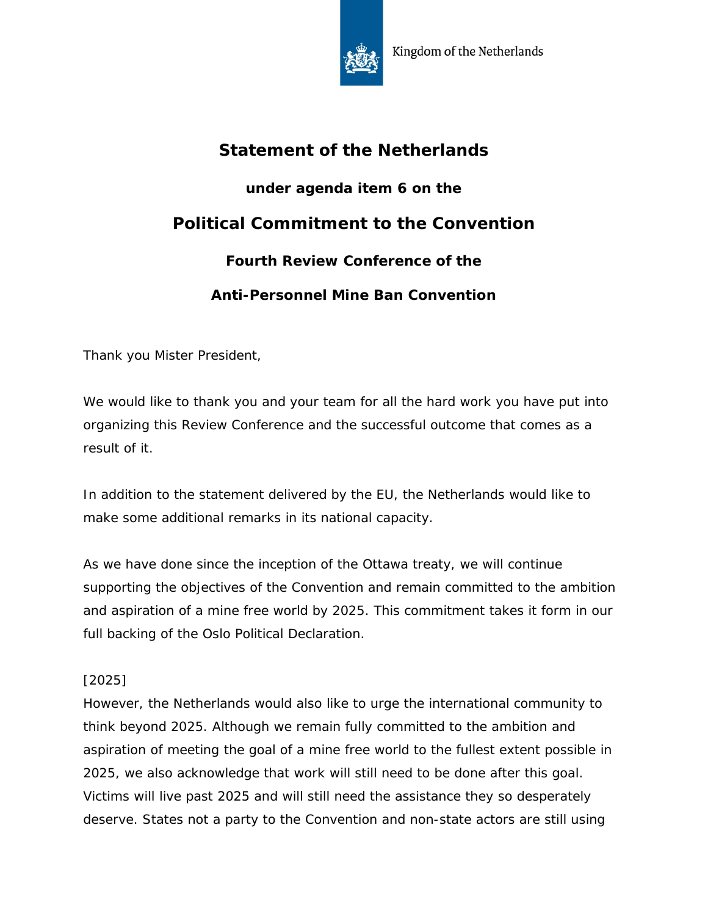

## **Statement of the Netherlands**

**under agenda item 6 on the Political Commitment to the Convention**

**Fourth Review Conference of the** 

## **Anti-Personnel Mine Ban Convention**

Thank you Mister President,

We would like to thank you and your team for all the hard work you have put into organizing this Review Conference and the successful outcome that comes as a result of it.

In addition to the statement delivered by the EU, the Netherlands would like to make some additional remarks in its national capacity.

As we have done since the inception of the Ottawa treaty, we will continue supporting the objectives of the Convention and remain committed to the ambition and aspiration of a mine free world by 2025. This commitment takes it form in our full backing of the Oslo Political Declaration.

## [2025]

However, the Netherlands would also like to urge the international community to think beyond 2025. Although we remain fully committed to the ambition and aspiration of meeting the goal of a mine free world to the fullest extent possible in 2025, we also acknowledge that work will still need to be done after this goal. Victims will live past 2025 and will still need the assistance they so desperately deserve. States not a party to the Convention and non-state actors are still using